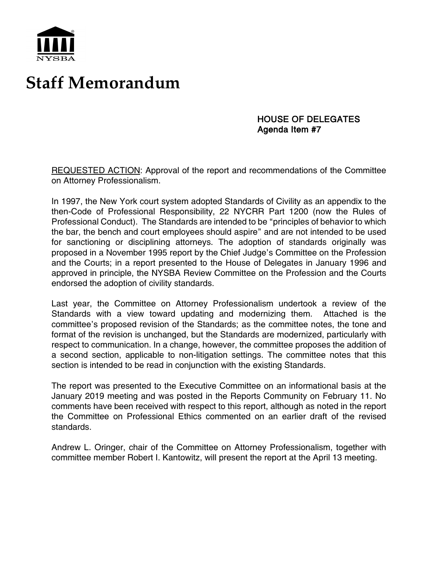

# **Staff Memorandum**

# HOUSE OF DELEGATES Agenda Item #7

REQUESTED ACTION: Approval of the report and recommendations of the Committee on Attorney Professionalism.

In 1997, the New York court system adopted Standards of Civility as an appendix to the then-Code of Professional Responsibility, 22 NYCRR Part 1200 (now the Rules of Professional Conduct). The Standards are intended to be "principles of behavior to which the bar, the bench and court employees should aspire" and are not intended to be used for sanctioning or disciplining attorneys. The adoption of standards originally was proposed in a November 1995 report by the Chief Judge's Committee on the Profession and the Courts; in a report presented to the House of Delegates in January 1996 and approved in principle, the NYSBA Review Committee on the Profession and the Courts endorsed the adoption of civility standards.

Last year, the Committee on Attorney Professionalism undertook a review of the Standards with a view toward updating and modernizing them. Attached is the committee's proposed revision of the Standards; as the committee notes, the tone and format of the revision is unchanged, but the Standards are modernized, particularly with respect to communication. In a change, however, the committee proposes the addition of a second section, applicable to non-litigation settings. The committee notes that this section is intended to be read in conjunction with the existing Standards.

The report was presented to the Executive Committee on an informational basis at the January 2019 meeting and was posted in the Reports Community on February 11. No comments have been received with respect to this report, although as noted in the report the Committee on Professional Ethics commented on an earlier draft of the revised standards.

Andrew L. Oringer, chair of the Committee on Attorney Professionalism, together with committee member Robert I. Kantowitz, will present the report at the April 13 meeting.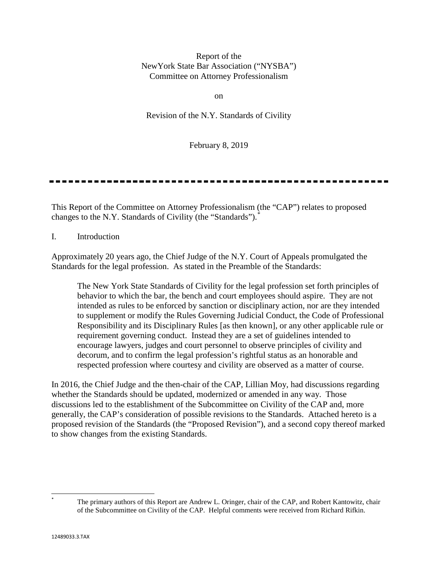## Report of the NewYork State Bar Association ("NYSBA") Committee on Attorney Professionalism

on

Revision of the N.Y. Standards of Civility

February 8, 2019

This Report of the Committee on Attorney Professionalism (the "CAP") relates to proposed changes to the N.Y. Standards of Civility (the "Standards").<sup>\*</sup>

I. Introduction

Approximately 20 years ago, the Chief Judge of the N.Y. Court of Appeals promulgated the Standards for the legal profession. As stated in the Preamble of the Standards:

The New York State Standards of Civility for the legal profession set forth principles of behavior to which the bar, the bench and court employees should aspire. They are not intended as rules to be enforced by sanction or disciplinary action, nor are they intended to supplement or modify the Rules Governing Judicial Conduct, the Code of Professional Responsibility and its Disciplinary Rules [as then known], or any other applicable rule or requirement governing conduct. Instead they are a set of guidelines intended to encourage lawyers, judges and court personnel to observe principles of civility and decorum, and to confirm the legal profession's rightful status as an honorable and respected profession where courtesy and civility are observed as a matter of course.

In 2016, the Chief Judge and the then-chair of the CAP, Lillian Moy, had discussions regarding whether the Standards should be updated, modernized or amended in any way. Those discussions led to the establishment of the Subcommittee on Civility of the CAP and, more generally, the CAP's consideration of possible revisions to the Standards. Attached hereto is a proposed revision of the Standards (the "Proposed Revision"), and a second copy thereof marked to show changes from the existing Standards.

The primary authors of this Report are Andrew L. Oringer, chair of the CAP, and Robert Kantowitz, chair of the Subcommittee on Civility of the CAP. Helpful comments were received from Richard Rifkin.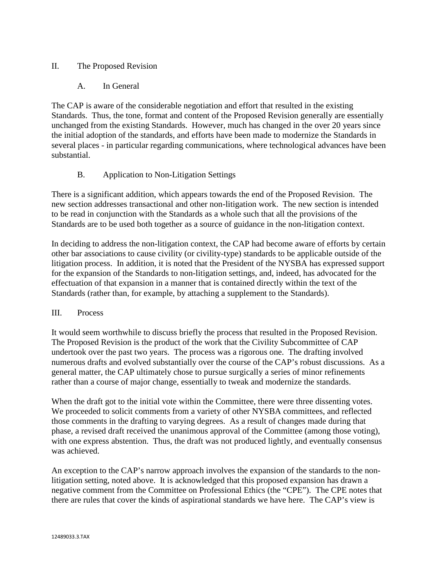## II. The Proposed Revision

## A. In General

The CAP is aware of the considerable negotiation and effort that resulted in the existing Standards. Thus, the tone, format and content of the Proposed Revision generally are essentially unchanged from the existing Standards. However, much has changed in the over 20 years since the initial adoption of the standards, and efforts have been made to modernize the Standards in several places - in particular regarding communications, where technological advances have been substantial.

## B. Application to Non-Litigation Settings

There is a significant addition, which appears towards the end of the Proposed Revision. The new section addresses transactional and other non-litigation work. The new section is intended to be read in conjunction with the Standards as a whole such that all the provisions of the Standards are to be used both together as a source of guidance in the non-litigation context.

In deciding to address the non-litigation context, the CAP had become aware of efforts by certain other bar associations to cause civility (or civility-type) standards to be applicable outside of the litigation process. In addition, it is noted that the President of the NYSBA has expressed support for the expansion of the Standards to non-litigation settings, and, indeed, has advocated for the effectuation of that expansion in a manner that is contained directly within the text of the Standards (rather than, for example, by attaching a supplement to the Standards).

#### III. Process

It would seem worthwhile to discuss briefly the process that resulted in the Proposed Revision. The Proposed Revision is the product of the work that the Civility Subcommittee of CAP undertook over the past two years. The process was a rigorous one. The drafting involved numerous drafts and evolved substantially over the course of the CAP's robust discussions. As a general matter, the CAP ultimately chose to pursue surgically a series of minor refinements rather than a course of major change, essentially to tweak and modernize the standards.

When the draft got to the initial vote within the Committee, there were three dissenting votes. We proceeded to solicit comments from a variety of other NYSBA committees, and reflected those comments in the drafting to varying degrees. As a result of changes made during that phase, a revised draft received the unanimous approval of the Committee (among those voting), with one express abstention. Thus, the draft was not produced lightly, and eventually consensus was achieved.

An exception to the CAP's narrow approach involves the expansion of the standards to the nonlitigation setting, noted above. It is acknowledged that this proposed expansion has drawn a negative comment from the Committee on Professional Ethics (the "CPE"). The CPE notes that there are rules that cover the kinds of aspirational standards we have here. The CAP's view is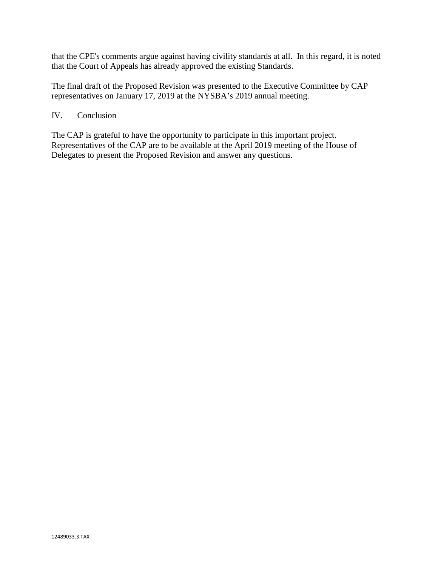that the CPE's comments argue against having civility standards at all. In this regard, it is noted that the Court of Appeals has already approved the existing Standards.

The final draft of the Proposed Revision was presented to the Executive Committee by CAP representatives on January 17, 2019 at the NYSBA's 2019 annual meeting.

#### IV. Conclusion

The CAP is grateful to have the opportunity to participate in this important project. Representatives of the CAP are to be available at the April 2019 meeting of the House of Delegates to present the Proposed Revision and answer any questions.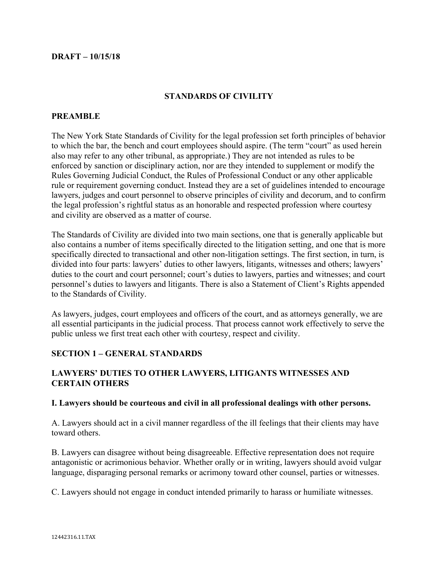#### **DRAFT – 10/15/18**

#### **STANDARDS OF CIVILITY**

#### **PREAMBLE**

The New York State Standards of Civility for the legal profession set forth principles of behavior to which the bar, the bench and court employees should aspire. (The term "court" as used herein also may refer to any other tribunal, as appropriate.) They are not intended as rules to be enforced by sanction or disciplinary action, nor are they intended to supplement or modify the Rules Governing Judicial Conduct, the Rules of Professional Conduct or any other applicable rule or requirement governing conduct. Instead they are a set of guidelines intended to encourage lawyers, judges and court personnel to observe principles of civility and decorum, and to confirm the legal profession's rightful status as an honorable and respected profession where courtesy and civility are observed as a matter of course.

The Standards of Civility are divided into two main sections, one that is generally applicable but also contains a number of items specifically directed to the litigation setting, and one that is more specifically directed to transactional and other non-litigation settings. The first section, in turn, is divided into four parts: lawyers' duties to other lawyers, litigants, witnesses and others; lawyers' duties to the court and court personnel; court's duties to lawyers, parties and witnesses; and court personnel's duties to lawyers and litigants. There is also a Statement of Client's Rights appended to the Standards of Civility.

As lawyers, judges, court employees and officers of the court, and as attorneys generally, we are all essential participants in the judicial process. That process cannot work effectively to serve the public unless we first treat each other with courtesy, respect and civility.

#### **SECTION 1 – GENERAL STANDARDS**

## **LAWYERS' DUTIES TO OTHER LAWYERS, LITIGANTS WITNESSES AND CERTAIN OTHERS**

#### **I. Lawyers should be courteous and civil in all professional dealings with other persons.**

A. Lawyers should act in a civil manner regardless of the ill feelings that their clients may have toward others.

B. Lawyers can disagree without being disagreeable. Effective representation does not require antagonistic or acrimonious behavior. Whether orally or in writing, lawyers should avoid vulgar language, disparaging personal remarks or acrimony toward other counsel, parties or witnesses.

C. Lawyers should not engage in conduct intended primarily to harass or humiliate witnesses.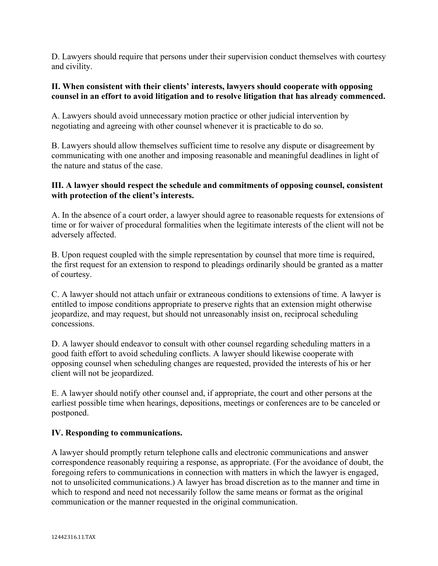D. Lawyers should require that persons under their supervision conduct themselves with courtesy and civility.

#### **II. When consistent with their clients' interests, lawyers should cooperate with opposing counsel in an effort to avoid litigation and to resolve litigation that has already commenced.**

A. Lawyers should avoid unnecessary motion practice or other judicial intervention by negotiating and agreeing with other counsel whenever it is practicable to do so.

B. Lawyers should allow themselves sufficient time to resolve any dispute or disagreement by communicating with one another and imposing reasonable and meaningful deadlines in light of the nature and status of the case.

# **III. A lawyer should respect the schedule and commitments of opposing counsel, consistent with protection of the client's interests.**

A. In the absence of a court order, a lawyer should agree to reasonable requests for extensions of time or for waiver of procedural formalities when the legitimate interests of the client will not be adversely affected.

B. Upon request coupled with the simple representation by counsel that more time is required, the first request for an extension to respond to pleadings ordinarily should be granted as a matter of courtesy.

C. A lawyer should not attach unfair or extraneous conditions to extensions of time. A lawyer is entitled to impose conditions appropriate to preserve rights that an extension might otherwise jeopardize, and may request, but should not unreasonably insist on, reciprocal scheduling concessions.

D. A lawyer should endeavor to consult with other counsel regarding scheduling matters in a good faith effort to avoid scheduling conflicts. A lawyer should likewise cooperate with opposing counsel when scheduling changes are requested, provided the interests of his or her client will not be jeopardized.

E. A lawyer should notify other counsel and, if appropriate, the court and other persons at the earliest possible time when hearings, depositions, meetings or conferences are to be canceled or postponed.

# **IV. Responding to communications.**

A lawyer should promptly return telephone calls and electronic communications and answer correspondence reasonably requiring a response, as appropriate. (For the avoidance of doubt, the foregoing refers to communications in connection with matters in which the lawyer is engaged, not to unsolicited communications.) A lawyer has broad discretion as to the manner and time in which to respond and need not necessarily follow the same means or format as the original communication or the manner requested in the original communication.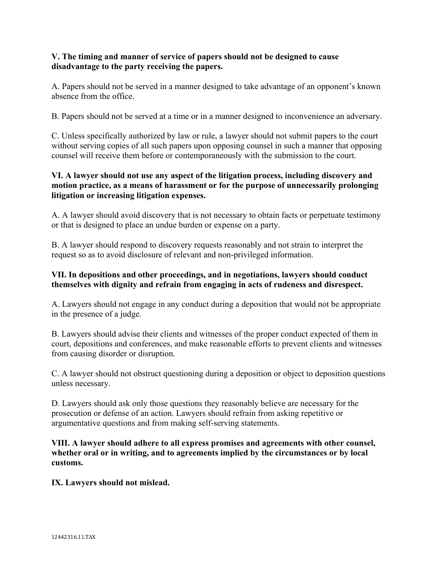## **V. The timing and manner of service of papers should not be designed to cause disadvantage to the party receiving the papers.**

A. Papers should not be served in a manner designed to take advantage of an opponent's known absence from the office.

B. Papers should not be served at a time or in a manner designed to inconvenience an adversary.

C. Unless specifically authorized by law or rule, a lawyer should not submit papers to the court without serving copies of all such papers upon opposing counsel in such a manner that opposing counsel will receive them before or contemporaneously with the submission to the court.

# **VI. A lawyer should not use any aspect of the litigation process, including discovery and motion practice, as a means of harassment or for the purpose of unnecessarily prolonging litigation or increasing litigation expenses.**

A. A lawyer should avoid discovery that is not necessary to obtain facts or perpetuate testimony or that is designed to place an undue burden or expense on a party.

B. A lawyer should respond to discovery requests reasonably and not strain to interpret the request so as to avoid disclosure of relevant and non-privileged information.

## **VII. In depositions and other proceedings, and in negotiations, lawyers should conduct themselves with dignity and refrain from engaging in acts of rudeness and disrespect.**

A. Lawyers should not engage in any conduct during a deposition that would not be appropriate in the presence of a judge.

B. Lawyers should advise their clients and witnesses of the proper conduct expected of them in court, depositions and conferences, and make reasonable efforts to prevent clients and witnesses from causing disorder or disruption.

C. A lawyer should not obstruct questioning during a deposition or object to deposition questions unless necessary.

D. Lawyers should ask only those questions they reasonably believe are necessary for the prosecution or defense of an action. Lawyers should refrain from asking repetitive or argumentative questions and from making self-serving statements.

**VIII. A lawyer should adhere to all express promises and agreements with other counsel, whether oral or in writing, and to agreements implied by the circumstances or by local customs.** 

**IX. Lawyers should not mislead.**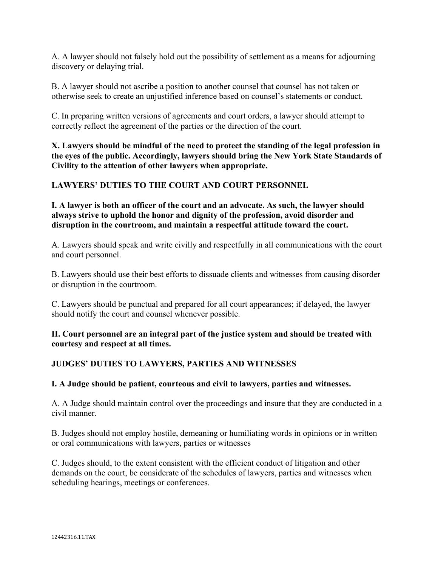A. A lawyer should not falsely hold out the possibility of settlement as a means for adjourning discovery or delaying trial.

B. A lawyer should not ascribe a position to another counsel that counsel has not taken or otherwise seek to create an unjustified inference based on counsel's statements or conduct.

C. In preparing written versions of agreements and court orders, a lawyer should attempt to correctly reflect the agreement of the parties or the direction of the court.

**X. Lawyers should be mindful of the need to protect the standing of the legal profession in the eyes of the public. Accordingly, lawyers should bring the New York State Standards of Civility to the attention of other lawyers when appropriate.** 

# **LAWYERS' DUTIES TO THE COURT AND COURT PERSONNEL**

**I. A lawyer is both an officer of the court and an advocate. As such, the lawyer should always strive to uphold the honor and dignity of the profession, avoid disorder and disruption in the courtroom, and maintain a respectful attitude toward the court.** 

A. Lawyers should speak and write civilly and respectfully in all communications with the court and court personnel.

B. Lawyers should use their best efforts to dissuade clients and witnesses from causing disorder or disruption in the courtroom.

C. Lawyers should be punctual and prepared for all court appearances; if delayed, the lawyer should notify the court and counsel whenever possible.

# **II. Court personnel are an integral part of the justice system and should be treated with courtesy and respect at all times.**

# **JUDGES' DUTIES TO LAWYERS, PARTIES AND WITNESSES**

#### **I. A Judge should be patient, courteous and civil to lawyers, parties and witnesses.**

A. A Judge should maintain control over the proceedings and insure that they are conducted in a civil manner.

B. Judges should not employ hostile, demeaning or humiliating words in opinions or in written or oral communications with lawyers, parties or witnesses

C. Judges should, to the extent consistent with the efficient conduct of litigation and other demands on the court, be considerate of the schedules of lawyers, parties and witnesses when scheduling hearings, meetings or conferences.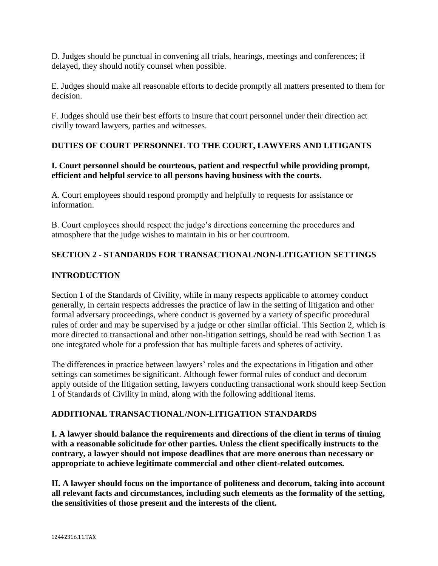D. Judges should be punctual in convening all trials, hearings, meetings and conferences; if delayed, they should notify counsel when possible.

E. Judges should make all reasonable efforts to decide promptly all matters presented to them for decision.

F. Judges should use their best efforts to insure that court personnel under their direction act civilly toward lawyers, parties and witnesses.

# **DUTIES OF COURT PERSONNEL TO THE COURT, LAWYERS AND LITIGANTS**

# **I. Court personnel should be courteous, patient and respectful while providing prompt, efficient and helpful service to all persons having business with the courts.**

A. Court employees should respond promptly and helpfully to requests for assistance or information.

B. Court employees should respect the judge's directions concerning the procedures and atmosphere that the judge wishes to maintain in his or her courtroom.

# **SECTION 2 - STANDARDS FOR TRANSACTIONAL/NON-LITIGATION SETTINGS**

# **INTRODUCTION**

Section 1 of the Standards of Civility, while in many respects applicable to attorney conduct generally, in certain respects addresses the practice of law in the setting of litigation and other formal adversary proceedings, where conduct is governed by a variety of specific procedural rules of order and may be supervised by a judge or other similar official. This Section 2, which is more directed to transactional and other non-litigation settings, should be read with Section 1 as one integrated whole for a profession that has multiple facets and spheres of activity.

The differences in practice between lawyers' roles and the expectations in litigation and other settings can sometimes be significant. Although fewer formal rules of conduct and decorum apply outside of the litigation setting, lawyers conducting transactional work should keep Section 1 of Standards of Civility in mind, along with the following additional items.

# **ADDITIONAL TRANSACTIONAL/NON-LITIGATION STANDARDS**

**I. A lawyer should balance the requirements and directions of the client in terms of timing with a reasonable solicitude for other parties. Unless the client specifically instructs to the contrary, a lawyer should not impose deadlines that are more onerous than necessary or appropriate to achieve legitimate commercial and other client-related outcomes.** 

**II. A lawyer should focus on the importance of politeness and decorum, taking into account all relevant facts and circumstances, including such elements as the formality of the setting, the sensitivities of those present and the interests of the client.**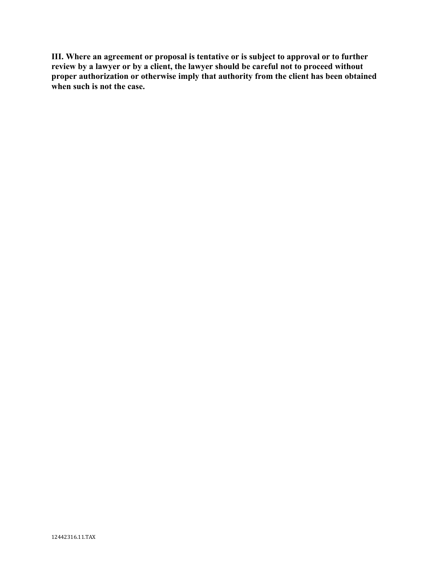**III. Where an agreement or proposal is tentative or is subject to approval or to further review by a lawyer or by a client, the lawyer should be careful not to proceed without proper authorization or otherwise imply that authority from the client has been obtained when such is not the case.**